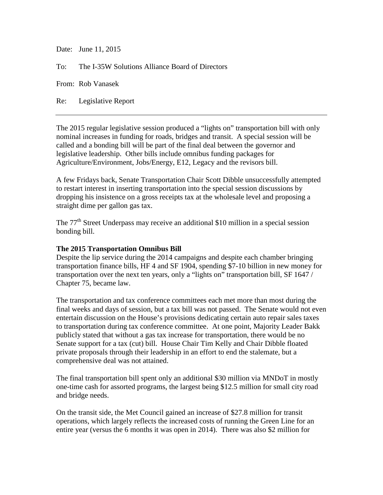Date: June 11, 2015

To: The I-35W Solutions Alliance Board of Directors

From: Rob Vanasek

Re: Legislative Report

The 2015 regular legislative session produced a "lights on" transportation bill with only nominal increases in funding for roads, bridges and transit. A special session will be called and a bonding bill will be part of the final deal between the governor and legislative leadership. Other bills include omnibus funding packages for Agriculture/Environment, Jobs/Energy, E12, Legacy and the revisors bill.

A few Fridays back, Senate Transportation Chair Scott Dibble unsuccessfully attempted to restart interest in inserting transportation into the special session discussions by dropping his insistence on a gross receipts tax at the wholesale level and proposing a straight dime per gallon gas tax.

The 77<sup>th</sup> Street Underpass may receive an additional \$10 million in a special session bonding bill.

## **The 2015 Transportation Omnibus Bill**

Despite the lip service during the 2014 campaigns and despite each chamber bringing transportation finance bills, HF 4 and SF 1904, spending \$7-10 billion in new money for transportation over the next ten years, only a "lights on" transportation bill, SF 1647 / Chapter 75, became law.

The transportation and tax conference committees each met more than most during the final weeks and days of session, but a tax bill was not passed. The Senate would not even entertain discussion on the House's provisions dedicating certain auto repair sales taxes to transportation during tax conference committee. At one point, Majority Leader Bakk publicly stated that without a gas tax increase for transportation, there would be no Senate support for a tax (cut) bill. House Chair Tim Kelly and Chair Dibble floated private proposals through their leadership in an effort to end the stalemate, but a comprehensive deal was not attained.

The final transportation bill spent only an additional \$30 million via MNDoT in mostly one-time cash for assorted programs, the largest being \$12.5 million for small city road and bridge needs.

On the transit side, the Met Council gained an increase of \$27.8 million for transit operations, which largely reflects the increased costs of running the Green Line for an entire year (versus the 6 months it was open in 2014). There was also \$2 million for